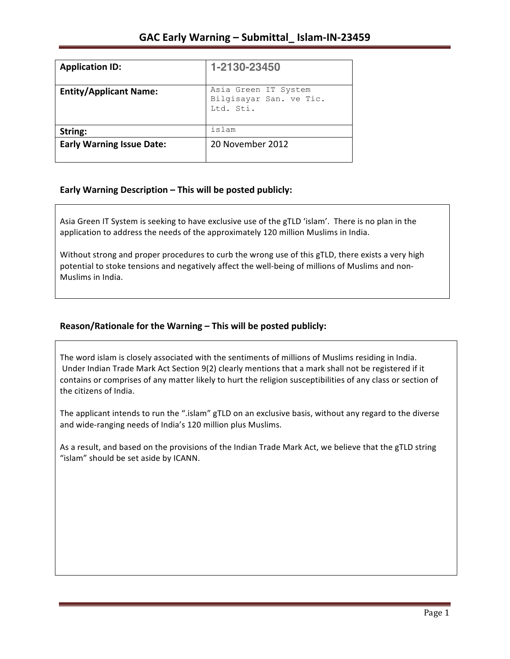| <b>Application ID:</b>           | 1-2130-23450                                                 |
|----------------------------------|--------------------------------------------------------------|
| <b>Entity/Applicant Name:</b>    | Asia Green IT System<br>Bilgisayar San. ve Tic.<br>Ltd. Sti. |
| String:                          | islam                                                        |
| <b>Early Warning Issue Date:</b> | 20 November 2012                                             |

### **Early Warning Description – This will be posted publicly:**

Asia Green IT System is seeking to have exclusive use of the gTLD 'islam'. There is no plan in the application to address the needs of the approximately 120 million Muslims in India.

Without strong and proper procedures to curb the wrong use of this gTLD, there exists a very high potential to stoke tensions and negatively affect the well-being of millions of Muslims and non-Muslims in India.

## Reason/Rationale for the Warning – This will be posted publicly:

The word islam is closely associated with the sentiments of millions of Muslims residing in India. Under Indian Trade Mark Act Section 9(2) clearly mentions that a mark shall not be registered if it contains or comprises of any matter likely to hurt the religion susceptibilities of any class or section of the citizens of India.

The applicant intends to run the ".islam" gTLD on an exclusive basis, without any regard to the diverse and wide-ranging needs of India's 120 million plus Muslims.

As a result, and based on the provisions of the Indian Trade Mark Act, we believe that the gTLD string "islam" should be set aside by ICANN.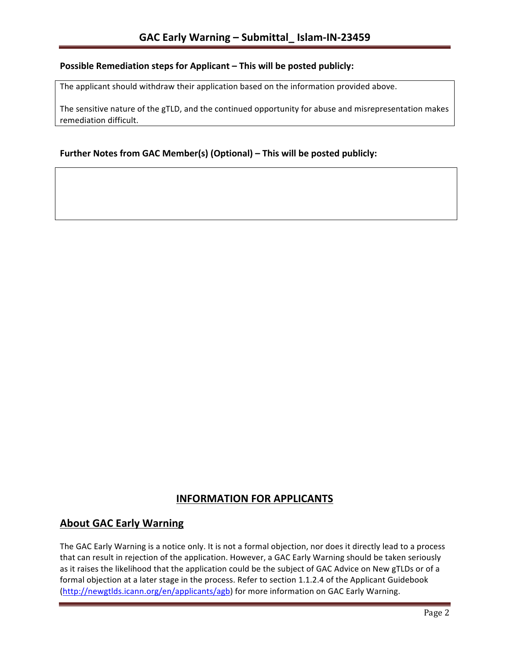### **Possible Remediation steps for Applicant – This will be posted publicly:**

The applicant should withdraw their application based on the information provided above.

The sensitive nature of the gTLD, and the continued opportunity for abuse and misrepresentation makes remediation difficult.

### **Further Notes from GAC Member(s) (Optional) – This will be posted publicly:**

# **INFORMATION FOR APPLICANTS**

## **About GAC Early Warning**

The GAC Early Warning is a notice only. It is not a formal objection, nor does it directly lead to a process that can result in rejection of the application. However, a GAC Early Warning should be taken seriously as it raises the likelihood that the application could be the subject of GAC Advice on New gTLDs or of a formal objection at a later stage in the process. Refer to section 1.1.2.4 of the Applicant Guidebook (http://newgtlds.icann.org/en/applicants/agb) for more information on GAC Early Warning.